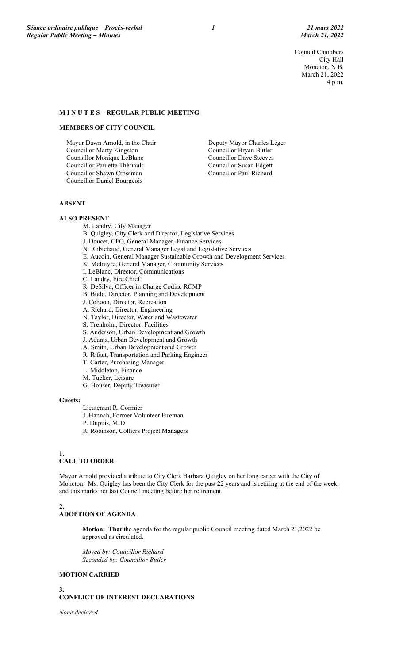Council Chambers City Hall Moncton, N.B. March 21, 2022 4 p.m.

#### **M I N U T E S – REGULAR PUBLIC MEETING**

#### **MEMBERS OF CITY COUNCIL**

Mayor Dawn Arnold, in the Chair Councillor Marty Kingston Counsillor Monique LeBlanc Councillor Paulette Thériault Councillor Shawn Crossman Councillor Daniel Bourgeois

Deputy Mayor Charles Léger Councillor Bryan Butler Councillor Dave Steeves Councillor Susan Edgett Councillor Paul Richard

# **ABSENT**

## **ALSO PRESENT**

- M. Landry, City Manager
- B. Quigley, City Clerk and Director, Legislative Services
- J. Doucet, CFO, General Manager, Finance Services
- N. Robichaud, General Manager Legal and Legislative Services
- E. Aucoin, General Manager Sustainable Growth and Development Services
- K. McIntyre, General Manager, Community Services
- I. LeBlanc, Director, Communications
- C. Landry, Fire Chief
- R. DeSilva, Officer in Charge Codiac RCMP
- B. Budd, Director, Planning and Development
- J. Cohoon, Director, Recreation
- A. Richard, Director, Engineering
- N. Taylor, Director, Water and Wastewater
- S. Trenholm, Director, Facilities
- S. Anderson, Urban Development and Growth
- J. Adams, Urban Development and Growth
- A. Smith, Urban Development and Growth
- R. Rifaat, Transportation and Parking Engineer
- T. Carter, Purchasing Manager
- L. Middleton, Finance
- M. Tucker, Leisure
- G. Houser, Deputy Treasurer

#### **Guests:**

- Lieutenant R. Cormier
- J. Hannah, Former Volunteer Fireman
- P. Dupuis, MID
- R. Robinson, Colliers Project Managers

# **1.**

# **CALL TO ORDER**

Mayor Arnold provided a tribute to City Clerk Barbara Quigley on her long career with the City of Moncton. Ms. Quigley has been the City Clerk for the past 22 years and is retiring at the end of the week, and this marks her last Council meeting before her retirement.

# **2.**

#### **ADOPTION OF AGENDA**

**Motion: That** the agenda for the regular public Council meeting dated March 21,2022 be approved as circulated.

*Moved by: Councillor Richard Seconded by: Councillor Butler*

# **MOTION CARRIED**

## **3. CONFLICT OF INTEREST DECLARATIONS**

*None declared*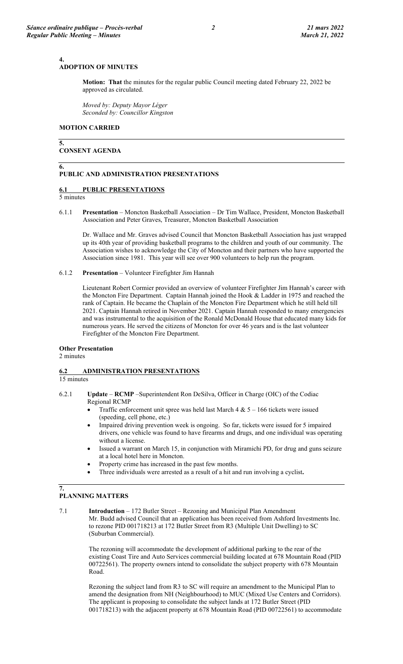# **4.**

# **ADOPTION OF MINUTES**

**Motion: That** the minutes for the regular public Council meeting dated February 22, 2022 be approved as circulated.

*Moved by: Deputy Mayor Léger Seconded by: Councillor Kingston*

## **MOTION CARRIED**

# **CONSENT AGENDA**

## **6.**

**5.** 

## **PUBLIC AND ADMINISTRATION PRESENTATIONS**

## **6.1 PUBLIC PRESENTATIONS**

5 minutes

6.1.1 **Presentation** – Moncton Basketball Association – Dr Tim Wallace, President, Moncton Basketball Association and Peter Graves, Treasurer, Moncton Basketball Association

Dr. Wallace and Mr. Graves advised Council that Moncton Basketball Association has just wrapped up its 40th year of providing basketball programs to the children and youth of our community. The Association wishes to acknowledge the City of Moncton and their partners who have supported the Association since 1981. This year will see over 900 volunteers to help run the program.

#### 6.1.2 **Presentation** – Volunteer Firefighter Jim Hannah

Lieutenant Robert Cormier provided an overview of volunteer Firefighter Jim Hannah's career with the Moncton Fire Department. Captain Hannah joined the Hook & Ladder in 1975 and reached the rank of Captain. He became the Chaplain of the Moncton Fire Department which he still held till 2021. Captain Hannah retired in November 2021. Captain Hannah responded to many emergencies and was instrumental to the acquisition of the Ronald McDonald House that educated many kids for numerous years. He served the citizens of Moncton for over 46 years and is the last volunteer Firefighter of the Moncton Fire Department.

# **Other Presentation**

2 minutes

## **6.2 ADMINISTRATION PRESENTATIONS**

15 minutes

- 6.2.1 **Update RCMP** –Superintendent Ron DeSilva, Officer in Charge (OIC) of the Codiac Regional RCMP
	- Traffic enforcement unit spree was held last March  $4 \& 5 166$  tickets were issued (speeding, cell phone, etc.)
	- Impaired driving prevention week is ongoing. So far, tickets were issued for 5 impaired drivers, one vehicle was found to have firearms and drugs, and one individual was operating without a license.
	- Issued a warrant on March 15, in conjunction with Miramichi PD, for drug and guns seizure at a local hotel here in Moncton.
	- Property crime has increased in the past few months.
	- Three individuals were arrested as a result of a hit and run involving a cyclist**.**

#### **7. PLANNING MATTERS**

7.1 **Introduction** – 172 Butler Street – Rezoning and Municipal Plan Amendment Mr. Budd advised Council that an application has been received from Ashford Investments Inc. to rezone PID 001718213 at 172 Butler Street from R3 (Multiple Unit Dwelling) to SC (Suburban Commercial).

> The rezoning will accommodate the development of additional parking to the rear of the existing Coast Tire and Auto Services commercial building located at 678 Mountain Road (PID 00722561). The property owners intend to consolidate the subject property with 678 Mountain Road.

> Rezoning the subject land from R3 to SC will require an amendment to the Municipal Plan to amend the designation from NH (Neighbourhood) to MUC (Mixed Use Centers and Corridors). The applicant is proposing to consolidate the subject lands at 172 Butler Street (PID 001718213) with the adjacent property at 678 Mountain Road (PID 00722561) to accommodate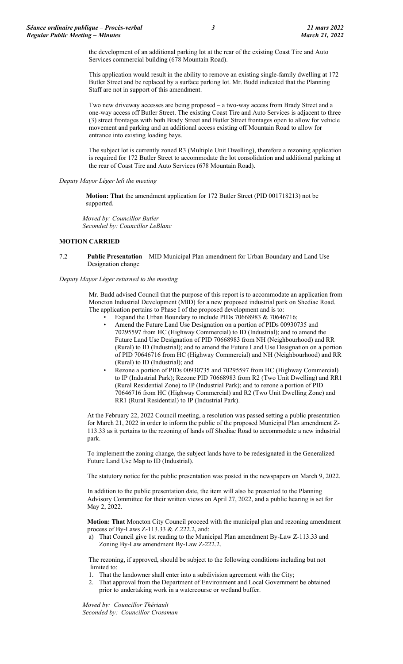the development of an additional parking lot at the rear of the existing Coast Tire and Auto Services commercial building (678 Mountain Road).

This application would result in the ability to remove an existing single-family dwelling at 172 Butler Street and be replaced by a surface parking lot. Mr. Budd indicated that the Planning Staff are not in support of this amendment.

Two new driveway accesses are being proposed – a two-way access from Brady Street and a one-way access off Butler Street. The existing Coast Tire and Auto Services is adjacent to three (3) street frontages with both Brady Street and Butler Street frontages open to allow for vehicle movement and parking and an additional access existing off Mountain Road to allow for entrance into existing loading bays.

The subject lot is currently zoned R3 (Multiple Unit Dwelling), therefore a rezoning application is required for 172 Butler Street to accommodate the lot consolidation and additional parking at the rear of Coast Tire and Auto Services (678 Mountain Road).

*Deputy Mayor Léger left the meeting*

**Motion: That** the amendment application for 172 Butler Street (PID 001718213) not be supported.

*Moved by: Councillor Butler Seconded by: Councillor LeBlanc*

## **MOTION CARRIED**

7.2 **Public Presentation** – MID Municipal Plan amendment for Urban Boundary and Land Use Designation change

## *Deputy Mayor Léger returned to the meeting*

Mr. Budd advised Council that the purpose of this report is to accommodate an application from Moncton Industrial Development (MID) for a new proposed industrial park on Shediac Road. The application pertains to Phase I of the proposed development and is to:

- Expand the Urban Boundary to include PIDs 70668983 & 70646716;
	- Amend the Future Land Use Designation on a portion of PIDs 00930735 and 70295597 from HC (Highway Commercial) to ID (Industrial); and to amend the Future Land Use Designation of PID 70668983 from NH (Neighbourhood) and RR (Rural) to ID (Industrial); and to amend the Future Land Use Designation on a portion of PID 70646716 from HC (Highway Commercial) and NH (Neighbourhood) and RR (Rural) to ID (Industrial); and
	- Rezone a portion of PIDs 00930735 and 70295597 from HC (Highway Commercial) to IP (Industrial Park); Rezone PID 70668983 from R2 (Two Unit Dwelling) and RR1 (Rural Residential Zone) to IP (Industrial Park); and to rezone a portion of PID 70646716 from HC (Highway Commercial) and R2 (Two Unit Dwelling Zone) and RR1 (Rural Residential) to IP (Industrial Park).

At the February 22, 2022 Council meeting, a resolution was passed setting a public presentation for March 21, 2022 in order to inform the public of the proposed Municipal Plan amendment Z-113.33 as it pertains to the rezoning of lands off Shediac Road to accommodate a new industrial park.

To implement the zoning change, the subject lands have to be redesignated in the Generalized Future Land Use Map to ID (Industrial).

The statutory notice for the public presentation was posted in the newspapers on March 9, 2022.

In addition to the public presentation date, the item will also be presented to the Planning Advisory Committee for their written views on April 27, 2022, and a public hearing is set for May 2, 2022.

**Motion: That** Moncton City Council proceed with the municipal plan and rezoning amendment process of By-Laws Z-113.33 & Z.222.2, and:

That Council give 1st reading to the Municipal Plan amendment By-Law Z-113.33 and Zoning By-Law amendment By-Law Z-222.2.

The rezoning, if approved, should be subject to the following conditions including but not limited to:

- 1. That the landowner shall enter into a subdivision agreement with the City;
- 2. That approval from the Department of Environment and Local Government be obtained prior to undertaking work in a watercourse or wetland buffer.

*Moved by: Councillor Thériault Seconded by: Councillor Crossman*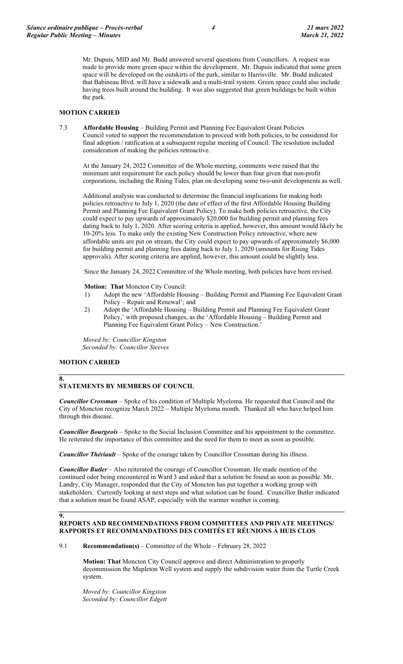Mr. Dupuis, MID and Mr. Budd answered several questions from Councillors. A request was made to provide more green space within the development. Mr. Dupuis indicated that some green space will be developed on the outskirts of the park, similar to Harrisville. Mr. Budd indicated that Babineau Blvd. will have a sidewalk and a multi-trail system. Green space could also include having trees built around the building. It was also suggested that green buildings be built within the park.

# **MOTION CARRIED**

7.3 **Affordable Housing** – Building Permit and Planning Fee Equivalent Grant Policies Council voted to support the recommendation to proceed with both policies, to be considered for final adoption / ratification at a subsequent regular meeting of Council. The resolution included consideration of making the policies retroactive.

At the January 24, 2022 Committee of the Whole meeting, comments were raised that the minimum unit requirement for each policy should be lower than four given that non-profit corporations, including the Rising Tides, plan on developing some two-unit developments as well.

Additional analysis was conducted to determine the financial implications for making both policies retroactive to July 1, 2020 (the date of effect of the first Affordable Housing Building Permit and Planning Fee Equivalent Grant Policy). To make both policies retroactive, the City could expect to pay upwards of approximately \$20,000 for building permit and planning fees dating back to July 1, 2020. After scoring criteria is applied, however, this amount would likely be 10-20% less. To make only the existing New Construction Policy retroactive, where new affordable units are put on stream, the City could expect to pay upwards of approximately \$6,000 for building permit and planning fees dating back to July 1, 2020 (amounts for Rising Tides approvals). After scoring criteria are applied, however, this amount could be slightly less.

Since the January 24, 2022 Committee of the Whole meeting, both policies have been revised.

**Motion: That** Moncton City Council:

- 1) Adopt the new 'Affordable Housing Building Permit and Planning Fee Equivalent Grant Policy – Repair and Renewal'; and
- 2) Adopt the 'Affordable Housing Building Permit and Planning Fee Equivalent Grant Policy,' with proposed changes, as the 'Affordable Housing – Building Permit and Planning Fee Equivalent Grant Policy – New Construction.'

*Moved by: Councillor Kingston Seconded by: Councillor Steeves*

# **MOTION CARRIED**

### **8. STATEMENTS BY MEMBERS OF COUNCIL**

*Councillor Crossman* – Spoke of his condition of Multiple Myeloma. He requested that Council and the City of Moncton recognize March 2022 – Multiple Myeloma month. Thanked all who have helped him through this disease.

*Councillor Bourgeois* – Spoke to the Social Inclusion Committee and his appointment to the committee. He reiterated the importance of this committee and the need for them to meet as soon as possible.

*Councillor Thériault* – Spoke of the courage taken by Councillor Crossman during his illness.

*Councillor Butler* – Also reiterated the courage of Councillor Crossman. He made mention of the continued odor being encountered in Ward 3 and asked that a solution be found as soon as possible. Mr. Landry, City Manager, responded that the City of Moncton has put together a working group with stakeholders. Currently looking at next steps and what solution can be found. Councillor Butler indicated that a solution must be found ASAP, especially with the warmer weather is coming.

## **REPORTS AND RECOMMENDATIONS FROM COMMITTEES AND PRIVATE MEETINGS/ RAPPORTS ET RECOMMANDATIONS DES COMITÉS ET RÉUNIONS À HUIS CLOS**

9.1 **Recommendation(s)** – Committee of the Whole – February 28, 2022

**Motion: That** Moncton City Council approve and direct Administration to properly decommission the Mapleton Well system and supply the subdivision water from the Turtle Creek system.

*Moved by: Councillor Kingston Seconded by: Councillor Edgett*

**<sup>9.</sup>**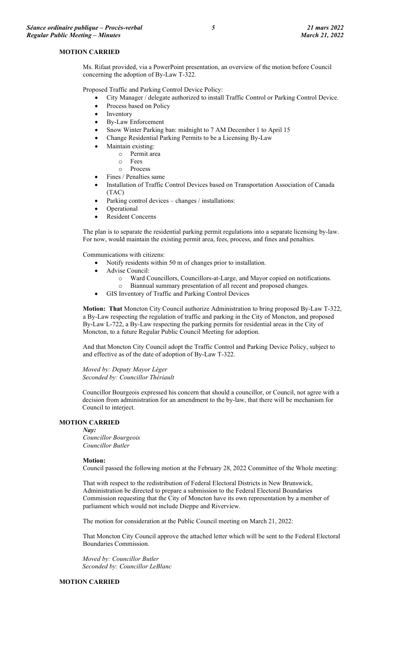## **MOTION CARRIED**

Ms. Rifaat provided, via a PowerPoint presentation, an overview of the motion before Council concerning the adoption of By-Law T-322.

Proposed Traffic and Parking Control Device Policy:

- City Manager / delegate authorized to install Traffic Control or Parking Control Device.
- Process based on Policy
- Inventory
- By-Law Enforcement
- Snow Winter Parking ban: midnight to 7 AM December 1 to April 15
- Change Residential Parking Permits to be a Licensing By-Law
	- Maintain existing:
		- o Permit area
		- o Fees o Process
		- Fines / Penalties same
- 
- Installation of Traffic Control Devices based on Transportation Association of Canada (TAC)
- Parking control devices changes / installations:
- **Operational**
- Resident Concerns

The plan is to separate the residential parking permit regulations into a separate licensing by-law. For now, would maintain the existing permit area, fees, process, and fines and penalties.

Communications with citizens:

- Notify residents within 50 m of changes prior to installation.
- Advise Council:
	- o Ward Councillors, Councillors-at-Large, and Mayor copied on notifications.
	- o Biannual summary presentation of all recent and proposed changes.
- GIS Inventory of Traffic and Parking Control Devices

**Motion: That** Moncton City Council authorize Administration to bring proposed By-Law T-322, a By-Law respecting the regulation of traffic and parking in the City of Moncton, and proposed By-Law L-722, a By-Law respecting the parking permits for residential areas in the City of Moncton, to a future Regular Public Council Meeting for adoption.

And that Moncton City Council adopt the Traffic Control and Parking Device Policy, subject to and effective as of the date of adoption of By-Law T-322.

*Moved by: Deputy Mayor Léger Seconded by: Councillor Thériault*

Councillor Bourgeois expressed his concern that should a councillor, or Council, not agree with a decision from administration for an amendment to the by-law, that there will be mechanism for Council to interject.

# **MOTION CARRIED**

*Nay:* 

*Councillor Bourgeois Councillor Butler*

#### **Motion:**

Council passed the following motion at the February 28, 2022 Committee of the Whole meeting:

That with respect to the redistribution of Federal Electoral Districts in New Brunswick, Administration be directed to prepare a submission to the Federal Electoral Boundaries Commission requesting that the City of Moncton have its own representation by a member of parliament which would not include Dieppe and Riverview.

The motion for consideration at the Public Council meeting on March 21, 2022:

That Moncton City Council approve the attached letter which will be sent to the Federal Electoral Boundaries Commission.

*Moved by: Councillor Butler Seconded by: Councillor LeBlanc*

#### **MOTION CARRIED**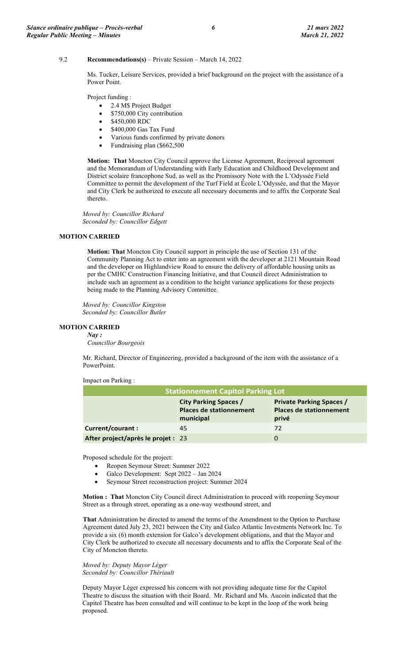### 9.2 **Recommendations(s)** – Private Session – March 14, 2022

Ms. Tucker, Leisure Services, provided a brief background on the project with the assistance of a Power Point.

Project funding :

- 2.4 M\$ Project Budget
- \$750,000 City contribution
- \$450,000 RDC
- \$400,000 Gas Tax Fund
- Various funds confirmed by private donors
- Fundraising plan (\$662,500

**Motion: That** Moncton City Council approve the License Agreement, Reciprocal agreement and the Memorandum of Understanding with Early Education and Childhood Development and District scolaire francophone Sud, as well as the Promissory Note with the L'Odyssée Field Committee to permit the development of the Turf Field at École L'Odyssée, and that the Mayor and City Clerk be authorized to execute all necessary documents and to affix the Corporate Seal thereto.

*Moved by: Councillor Richard Seconded by: Councillor Edgett*

## **MOTION CARRIED**

**Motion: That** Moncton City Council support in principle the use of Section 131 of the Community Planning Act to enter into an agreement with the developer at 2121 Mountain Road and the developer on Highlandview Road to ensure the delivery of affordable housing units as per the CMHC Construction Financing Initiative, and that Council direct Administration to include such an agreement as a condition to the height variance applications for these projects being made to the Planning Advisory Committee.

*Moved by: Councillor Kingston Seconded by: Councillor Butler*

#### **MOTION CARRIED**

*Nay : Councillor Bourgeois*

Mr. Richard, Director of Engineering, provided a background of the item with the assistance of a PowerPoint.

Impact on Parking :

| <b>Stationnement Capitol Parking Lot</b> |                                                                             |                                                                            |  |  |  |
|------------------------------------------|-----------------------------------------------------------------------------|----------------------------------------------------------------------------|--|--|--|
|                                          | <b>City Parking Spaces /</b><br><b>Places de stationnement</b><br>municipal | <b>Private Parking Spaces /</b><br><b>Places de stationnement</b><br>privé |  |  |  |
| <b>Current/courant:</b>                  | 45                                                                          | 72                                                                         |  |  |  |
| After project/après le projet : 23       |                                                                             |                                                                            |  |  |  |

Proposed schedule for the project:

- Reopen Seymour Street: Summer 2022
- Galco Development: Sept 2022 Jan 2024
- Seymour Street reconstruction project: Summer 2024

**Motion : That** Moncton City Council direct Administration to proceed with reopening Seymour Street as a through street, operating as a one-way westbound street, and

**That** Administration be directed to amend the terms of the Amendment to the Option to Purchase Agreement dated July 23, 2021 between the City and Galco Atlantic Investments Network Inc. To provide a six (6) month extension for Galco's development obligations, and that the Mayor and City Clerk be authorized to execute all necessary documents and to affix the Corporate Seal of the City of Moncton thereto.

*Moved by: Deputy Mayor Léger Seconded by: Councillor Thériault*

Deputy Mayor Léger expressed his concern with not providing adequate time for the Capitol Theatre to discuss the situation with their Board. Mr. Richard and Ms. Aucoin indicated that the Capitol Theatre has been consulted and will continue to be kept in the loop of the work being proposed.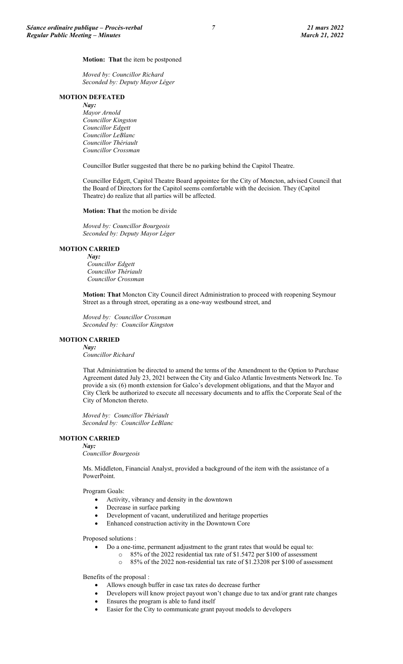#### **Motion: That** the item be postponed

*Moved by: Councillor Richard Seconded by: Deputy Mayor Léger*

#### **MOTION DEFEATED**

# *Nay:*

*Mayor Arnold Councillor Kingston Councillor Edgett Councillor LeBlanc Councillor Thériault Councillor Crossman*

Councillor Butler suggested that there be no parking behind the Capitol Theatre.

Councillor Edgett, Capitol Theatre Board appointee for the City of Moncton, advised Council that the Board of Directors for the Capitol seems comfortable with the decision. They (Capitol Theatre) do realize that all parties will be affected.

**Motion: That** the motion be divide

*Moved by: Councillor Bourgeois Seconded by: Deputy Mayor Léger*

#### **MOTION CARRIED**

*Nay: Councillor Edgett Councillor Thériault Councillor Crossman*

**Motion: That** Moncton City Council direct Administration to proceed with reopening Seymour Street as a through street, operating as a one-way westbound street, and

*Moved by: Councillor Crossman Seconded by: Councilor Kingston*

## **MOTION CARRIED**

*Nay: Councillor Richard*

That Administration be directed to amend the terms of the Amendment to the Option to Purchase Agreement dated July 23, 2021 between the City and Galco Atlantic Investments Network Inc. To provide a six (6) month extension for Galco's development obligations, and that the Mayor and City Clerk be authorized to execute all necessary documents and to affix the Corporate Seal of the City of Moncton thereto.

*Moved by: Councillor Thériault Seconded by: Councillor LeBlanc*

#### **MOTION CARRIED** *Nay:*

*Councillor Bourgeois*

Ms. Middleton, Financial Analyst, provided a background of the item with the assistance of a PowerPoint.

Program Goals:

- Activity, vibrancy and density in the downtown
- Decrease in surface parking
- Development of vacant, underutilized and heritage properties
- Enhanced construction activity in the Downtown Core

Proposed solutions :

- Do a one-time, permanent adjustment to the grant rates that would be equal to:
	- $\degree$  85% of the 2022 residential tax rate of \$1.5472 per \$100 of assessment  $\degree$  85% of the 2022 non-residential tax rate of \$1.23208 per \$100 of assess
	- 85% of the 2022 non-residential tax rate of \$1.23208 per \$100 of assessment

Benefits of the proposal :

- Allows enough buffer in case tax rates do decrease further
- Developers will know project payout won't change due to tax and/or grant rate changes<br>• Ensures the program is able to fund itself
- Ensures the program is able to fund itself
- Easier for the City to communicate grant payout models to developers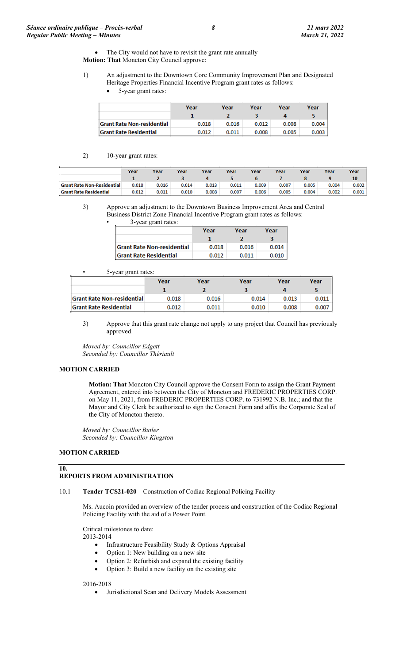# The City would not have to revisit the grant rate annually **Motion: That** Moncton City Council approve:

- 1) An adjustment to the Downtown Core Community Improvement Plan and Designated Heritage Properties Financial Incentive Program grant rates as follows:
	- 5-year grant rates:

|                                   | Year  | Year  | Year<br>Year |       | Year  |  |
|-----------------------------------|-------|-------|--------------|-------|-------|--|
|                                   |       |       |              |       |       |  |
| <b>Grant Rate Non-residential</b> | 0.018 | 0.016 | 0.012        | 0.008 | 0.004 |  |
| <b>Grant Rate Residential</b>     | 0.012 | 0.011 | 0.008        | 0.005 | 0.003 |  |

## 2) 10-year grant rates:

|                                   | Year  | Year  | Year  | Year  | Year  | Year  | Year  | Year  | Year  | Year  |
|-----------------------------------|-------|-------|-------|-------|-------|-------|-------|-------|-------|-------|
|                                   |       |       |       |       |       |       |       |       |       |       |
| <b>Grant Rate Non-Residential</b> | 0.018 | 0.016 | 0.014 | 0.013 | 0.011 | 0.009 | 0.007 | 0.005 | 0.004 | 0.002 |
| <b>Grant Rate Residential</b>     | 0.012 | 0.011 | 0.010 | 0.008 | 0.007 | 0.006 | 0.005 | 0.004 | 0.002 | 0.001 |

3) Approve an adjustment to the Downtown Business Improvement Area and Central Business District Zone Financial Incentive Program grant rates as follows:

• 3-year grant rates:

|                                   | Year  | Year  | Year  |
|-----------------------------------|-------|-------|-------|
|                                   |       |       |       |
| <b>Grant Rate Non-residential</b> | 0.018 | 0.016 | 0.014 |
| <b>Grant Rate Residential</b>     | በ በ12 | 0.011 | 0.010 |

• 5-year grant rates:

|                                   | Year<br>Year |       | Year  | Year  | Year    |
|-----------------------------------|--------------|-------|-------|-------|---------|
|                                   |              |       |       |       |         |
| <b>Grant Rate Non-residential</b> | 0.018        | 0.016 | 0.014 | 0.013 | $0.011$ |
| <b>Grant Rate Residential</b>     | 0.012        | 0.011 | 0.010 | 0.008 | 0.007   |

3) Approve that this grant rate change not apply to any project that Council has previously approved.

*Moved by: Councillor Edgett Seconded by: Councillor Thériault*

## **MOTION CARRIED**

**Motion: That** Moncton City Council approve the Consent Form to assign the Grant Payment Agreement, entered into between the City of Moncton and FREDERIC PROPERTIES CORP. on May 11, 2021, from FREDERIC PROPERTIES CORP. to 731992 N.B. Inc.; and that the Mayor and City Clerk be authorized to sign the Consent Form and affix the Corporate Seal of the City of Moncton thereto.

*Moved by: Councillor Butler Seconded by: Councillor Kingston*

# **MOTION CARRIED**

## **10. REPORTS FROM ADMINISTRATION**

# 10.1 **Tender TCS21-020 –** Construction of Codiac Regional Policing Facility

Ms. Aucoin provided an overview of the tender process and construction of the Codiac Regional Policing Facility with the aid of a Power Point.

Critical milestones to date: 2013-2014

- Infrastructure Feasibility Study & Options Appraisal
- Option 1: New building on a new site
- Option 2: Refurbish and expand the existing facility
- Option 3: Build a new facility on the existing site

2016-2018

• Jurisdictional Scan and Delivery Models Assessment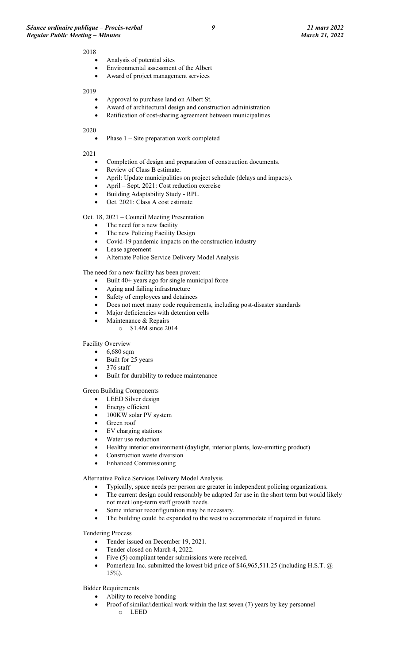2018

- Analysis of potential sites
- Environmental assessment of the Albert
- Award of project management services

2019

- Approval to purchase land on Albert St.
- Award of architectural design and construction administration
- Ratification of cost-sharing agreement between municipalities

2020

Phase  $1 -$  Site preparation work completed

2021

- Completion of design and preparation of construction documents.
- Review of Class B estimate.
- April: Update municipalities on project schedule (delays and impacts).
- April Sept. 2021: Cost reduction exercise
- Building Adaptability Study RPL
- Oct. 2021: Class A cost estimate

Oct. 18, 2021 – Council Meeting Presentation

- The need for a new facility
- The new Policing Facility Design
- Covid-19 pandemic impacts on the construction industry
- Lease agreement
- Alternate Police Service Delivery Model Analysis

The need for a new facility has been proven:

- Built 40+ years ago for single municipal force
- Aging and failing infrastructure
- Safety of employees and detainees
- Does not meet many code requirements, including post-disaster standards
- Major deficiencies with detention cells
	- Maintenance & Repairs
	- o \$1.4M since 2014

Facility Overview

- 6,680 sqm
- Built for 25 years
- 376 staff
- Built for durability to reduce maintenance

Green Building Components

- LEED Silver design
- Energy efficient
- 100KW solar PV system
- Green roof
- EV charging stations
- Water use reduction
- Healthy interior environment (daylight, interior plants, low-emitting product)
- Construction waste diversion
- Enhanced Commissioning

Alternative Police Services Delivery Model Analysis

- Typically, space needs per person are greater in independent policing organizations.
- The current design could reasonably be adapted for use in the short term but would likely
	- not meet long-term staff growth needs.
- Some interior reconfiguration may be necessary.
- The building could be expanded to the west to accommodate if required in future.

Tendering Process

- Tender issued on December 19, 2021.
- Tender closed on March 4, 2022.
- Five (5) compliant tender submissions were received.
- Pomerleau Inc. submitted the lowest bid price of \$46,965,511.25 (including H.S.T. @ 15%).

Bidder Requirements

- Ability to receive bonding
	- Proof of similar/identical work within the last seven (7) years by key personnel o LEED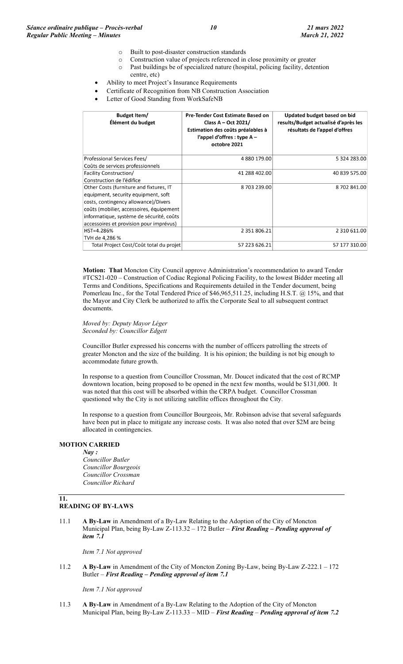- o Built to post-disaster construction standards
- o Construction value of projects referenced in close proximity or greater
- o Past buildings be of specialized nature (hospital, policing facility, detention centre, etc)
- Ability to meet Project's Insurance Requirements
- Certificate of Recognition from NB Construction Association
- Letter of Good Standing from WorkSafeNB

| Budget Item/<br>Élément du budget        | <b>Pre-Tender Cost Estimate Based on</b><br>Class A - Oct 2021/<br>Estimation des coûts préalables à<br>l'appel d'offres : type $A -$<br>octobre 2021 | Updated budget based on bid<br>results/Budget actualisé d'après les<br>résultats de l'appel d'offres |
|------------------------------------------|-------------------------------------------------------------------------------------------------------------------------------------------------------|------------------------------------------------------------------------------------------------------|
| Professional Services Fees/              | 4 880 179.00                                                                                                                                          | 5 324 283.00                                                                                         |
| Coûts de services professionnels         |                                                                                                                                                       |                                                                                                      |
| <b>Facility Construction/</b>            | 41 288 402.00                                                                                                                                         | 40 839 575.00                                                                                        |
| Construction de l'édifice                |                                                                                                                                                       |                                                                                                      |
| Other Costs (furniture and fixtures, IT  | 8703239.00                                                                                                                                            | 8702841.00                                                                                           |
| equipment, security equipment, soft      |                                                                                                                                                       |                                                                                                      |
| costs, contingency allowance)/Divers     |                                                                                                                                                       |                                                                                                      |
| coûts (mobilier, accessoires, équipement |                                                                                                                                                       |                                                                                                      |
| informatique, système de sécurité, coûts |                                                                                                                                                       |                                                                                                      |
| accessoires et provision pour imprévus)  |                                                                                                                                                       |                                                                                                      |
| HST=4.286%                               | 2 351 806.21                                                                                                                                          | 2 310 611.00                                                                                         |
| TVH de 4,286 %                           |                                                                                                                                                       |                                                                                                      |
| Total Project Cost/Coût total du projet  | 57 223 626.21                                                                                                                                         | 57 177 310.00                                                                                        |

**Motion: That** Moncton City Council approve Administration's recommendation to award Tender #TCS21-020 – Construction of Codiac Regional Policing Facility, to the lowest Bidder meeting all Terms and Conditions, Specifications and Requirements detailed in the Tender document, being Pomerleau Inc., for the Total Tendered Price of \$46,965,511.25, including H.S.T. @ 15%, and that the Mayor and City Clerk be authorized to affix the Corporate Seal to all subsequent contract documents.

#### *Moved by: Deputy Mayor Léger Seconded by: Councillor Edgett*

Councillor Butler expressed his concerns with the number of officers patrolling the streets of greater Moncton and the size of the building. It is his opinion; the building is not big enough to accommodate future growth.

In response to a question from Councillor Crossman, Mr. Doucet indicated that the cost of RCMP downtown location, being proposed to be opened in the next few months, would be \$131,000. It was noted that this cost will be absorbed within the CRPA budget. Councillor Crossman questioned why the City is not utilizing satellite offices throughout the City.

In response to a question from Councillor Bourgeois, Mr. Robinson advise that several safeguards have been put in place to mitigate any increase costs. It was also noted that over \$2M are being allocated in contingencies.

## **MOTION CARRIED**

*Nay : Councillor Butler Councillor Bourgeois Councillor Crossman Councillor Richard*

#### **11. READING OF BY-LAWS**

11.1 **A By-Law** in Amendment of a By-Law Relating to the Adoption of the City of Moncton Municipal Plan, being By-Law Z-113.32 – 172 Butler – *First Reading – Pending approval of item 7.1*

*Item 7.1 Not approved*

11.2 **A By-Law** in Amendment of the City of Moncton Zoning By-Law, being By-Law Z-222.1 – 172 Butler – *First Reading – Pending approval of item 7.1*

*Item 7.1 Not approved*

11.3 **A By-Law** in Amendment of a By-Law Relating to the Adoption of the City of Moncton Municipal Plan, being By-Law Z-113.33 – MID – *First Reading* – *Pending approval of item 7.2*